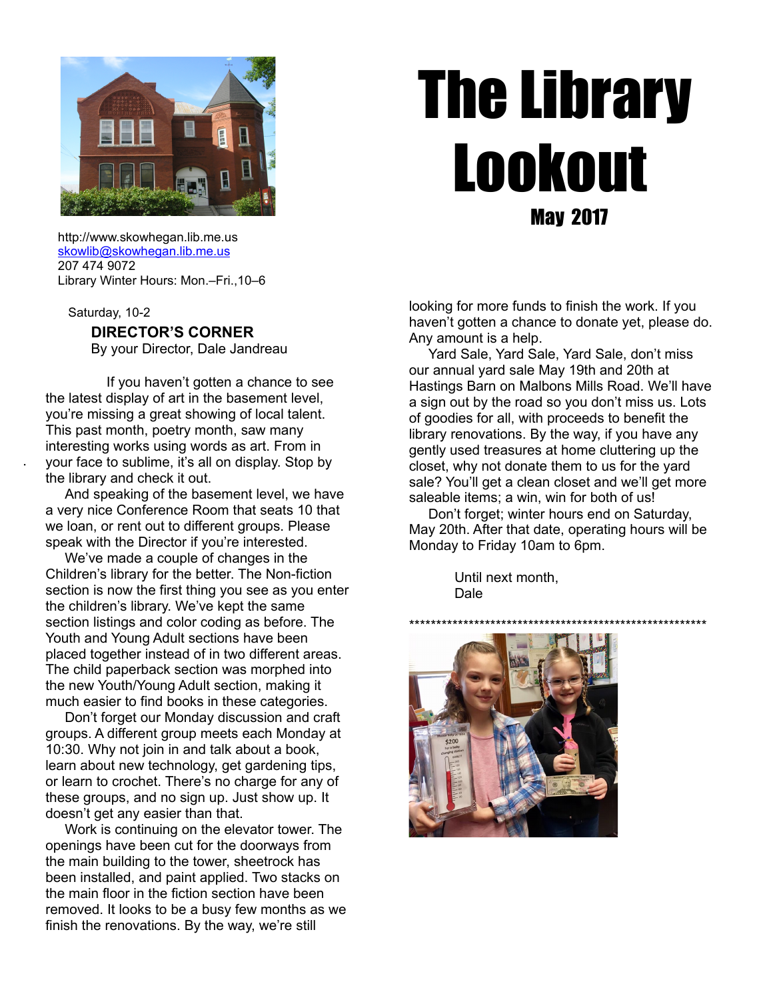

# The Library Lookout May 2017

 http://www.skowhegan.lib.me.us [skowlib@skowhegan.lib.me.us](mailto:skowlib@skowhegan.lib.me.us) 207 474 9072 Library Winter Hours: Mon.–Fri.,10–6

Saturday, 10-2

.

#### **DIRECTOR'S CORNER**

By your Director, Dale Jandreau

 If you haven't gotten a chance to see the latest display of art in the basement level, you're missing a great showing of local talent. This past month, poetry month, saw many interesting works using words as art. From in your face to sublime, it's all on display. Stop by the library and check it out.

 And speaking of the basement level, we have a very nice Conference Room that seats 10 that we loan, or rent out to different groups. Please speak with the Director if you're interested.

 We've made a couple of changes in the Children's library for the better. The Non-fiction section is now the first thing you see as you enter the children's library. We've kept the same section listings and color coding as before. The Youth and Young Adult sections have been placed together instead of in two different areas. The child paperback section was morphed into the new Youth/Young Adult section, making it much easier to find books in these categories.

 Don't forget our Monday discussion and craft groups. A different group meets each Monday at 10:30. Why not join in and talk about a book, learn about new technology, get gardening tips, or learn to crochet. There's no charge for any of these groups, and no sign up. Just show up. It doesn't get any easier than that.

 Work is continuing on the elevator tower. The openings have been cut for the doorways from the main building to the tower, sheetrock has been installed, and paint applied. Two stacks on the main floor in the fiction section have been removed. It looks to be a busy few months as we finish the renovations. By the way, we're still

looking for more funds to finish the work. If you haven't gotten a chance to donate yet, please do. Any amount is a help.

 Yard Sale, Yard Sale, Yard Sale, don't miss our annual yard sale May 19th and 20th at Hastings Barn on Malbons Mills Road. We'll have a sign out by the road so you don't miss us. Lots of goodies for all, with proceeds to benefit the library renovations. By the way, if you have any gently used treasures at home cluttering up the closet, why not donate them to us for the yard sale? You'll get a clean closet and we'll get more saleable items; a win, win for both of us!

 Don't forget; winter hours end on Saturday, May 20th. After that date, operating hours will be Monday to Friday 10am to 6pm.

> Until next month, Dale

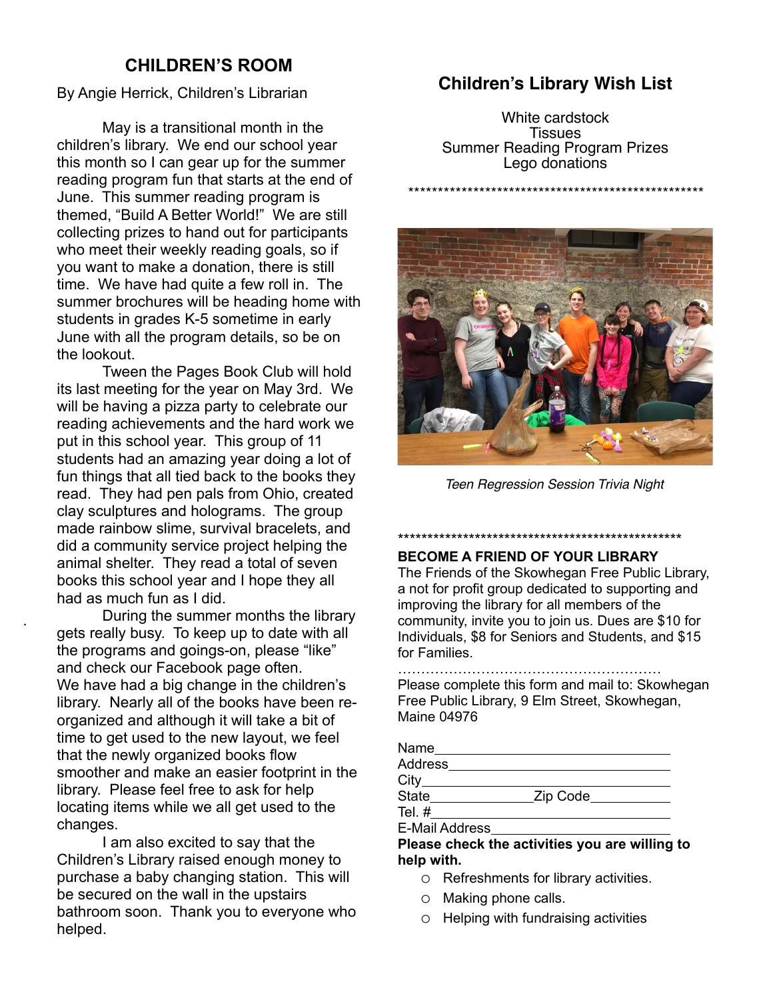# **CHILDREN'S ROOM**

By Angie Herrick, Children's Librarian

May is a transitional month in the children's library. We end our school year this month so I can gear up for the summer reading program fun that starts at the end of June. This summer reading program is themed, "Build A Better World!" We are still collecting prizes to hand out for participants who meet their weekly reading goals, so if you want to make a donation, there is still time. We have had quite a few roll in. The summer brochures will be heading home with students in grades K-5 sometime in early June with all the program details, so be on the lookout.

Tween the Pages Book Club will hold its last meeting for the year on May 3rd. We will be having a pizza party to celebrate our reading achievements and the hard work we put in this school year. This group of 11 students had an amazing year doing a lot of fun things that all tied back to the books they read. They had pen pals from Ohio, created clay sculptures and holograms. The group made rainbow slime, survival bracelets, and did a community service project helping the animal shelter. They read a total of seven books this school year and I hope they all had as much fun as I did.

During the summer months the library gets really busy. To keep up to date with all the programs and goings-on, please "like" and check our Facebook page often. We have had a big change in the children's library. Nearly all of the books have been reorganized and although it will take a bit of time to get used to the new layout, we feel that the newly organized books flow smoother and make an easier footprint in the library. Please feel free to ask for help locating items while we all get used to the changes.

.

I am also excited to say that the Children's Library raised enough money to purchase a baby changing station. This will be secured on the wall in the upstairs bathroom soon. Thank you to everyone who helped.

# **Children's Library Wish List**

White cardstock Tissues Summer Reading Program Prizes Lego donations

\*\*\*\*\*\*\*\*\*\*\*\*\*\*\*\*\*\*\*\*\*\*\*\*\*\*\*\*\*\*\*\*\*\*\*\*\*\*\*\*\*\*\*\*\*\*\*\*\*\*

Teen Regression Session Trivia Night

\*\*\*\*\*\*\*\*\*\*\*\*\*\*\*\*\*\*\*\*\*\*\*\*\*\*\*\*\*\*\*\*\*\*\*\*\*\*\*\*\*\*\*\*\*\*\*\*

## **BECOME A FRIEND OF YOUR LIBRARY**

The Friends of the Skowhegan Free Public Library, a not for profit group dedicated to supporting and improving the library for all members of the community, invite you to join us. Dues are \$10 for Individuals, \$8 for Seniors and Students, and \$15 for Families.

………………………………………………… Please complete this form and mail to: Skowhegan Free Public Library, 9 Elm Street, Skowhegan, Maine 04976

| Name           |          |  |
|----------------|----------|--|
| <b>Address</b> |          |  |
| $City_$        |          |  |
| State          | Zip Code |  |
| Tel.#          |          |  |
|                |          |  |

E-Mail Address

**Please check the activities you are willing to help with.**

- o Refreshments for library activities.
- o Making phone calls.
- o Helping with fundraising activities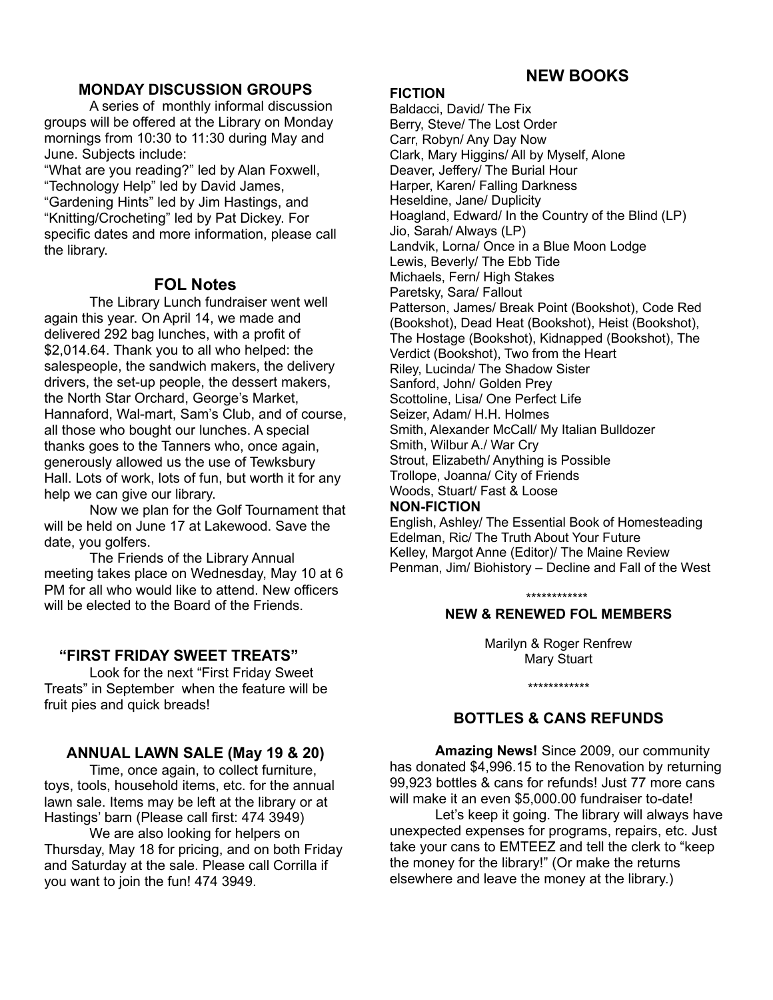# **NEW BOOKS**

# **MONDAY DISCUSSION GROUPS**

A series of monthly informal discussion groups will be offered at the Library on Monday mornings from 10:30 to 11:30 during May and June. Subjects include:

"What are you reading?" led by Alan Foxwell, "Technology Help" led by David James, "Gardening Hints" led by Jim Hastings, and "Knitting/Crocheting" led by Pat Dickey. For specific dates and more information, please call the library.

# **FOL Notes**

The Library Lunch fundraiser went well again this year. On April 14, we made and delivered 292 bag lunches, with a profit of \$2,014.64. Thank you to all who helped: the salespeople, the sandwich makers, the delivery drivers, the set-up people, the dessert makers, the North Star Orchard, George's Market, Hannaford, Wal-mart, Sam's Club, and of course, all those who bought our lunches. A special thanks goes to the Tanners who, once again, generously allowed us the use of Tewksbury Hall. Lots of work, lots of fun, but worth it for any help we can give our library.

Now we plan for the Golf Tournament that will be held on June 17 at Lakewood. Save the date, you golfers.

The Friends of the Library Annual meeting takes place on Wednesday, May 10 at 6 PM for all who would like to attend. New officers will be elected to the Board of the Friends.

# **"FIRST FRIDAY SWEET TREATS"**

Look for the next "First Friday Sweet Treats" in September when the feature will be fruit pies and quick breads!

# **ANNUAL LAWN SALE (May 19 & 20)**

Time, once again, to collect furniture, toys, tools, household items, etc. for the annual lawn sale. Items may be left at the library or at Hastings' barn (Please call first: 474 3949)

We are also looking for helpers on Thursday, May 18 for pricing, and on both Friday and Saturday at the sale. Please call Corrilla if you want to join the fun! 474 3949.

#### **FICTION**

Baldacci, David/ The Fix Berry, Steve/ The Lost Order Carr, Robyn/ Any Day Now Clark, Mary Higgins/ All by Myself, Alone Deaver, Jeffery/ The Burial Hour Harper, Karen/ Falling Darkness Heseldine, Jane/ Duplicity Hoagland, Edward/ In the Country of the Blind (LP) Jio, Sarah/ Always (LP) Landvik, Lorna/ Once in a Blue Moon Lodge Lewis, Beverly/ The Ebb Tide Michaels, Fern/ High Stakes Paretsky, Sara/ Fallout Patterson, James/ Break Point (Bookshot), Code Red (Bookshot), Dead Heat (Bookshot), Heist (Bookshot), The Hostage (Bookshot), Kidnapped (Bookshot), The Verdict (Bookshot), Two from the Heart Riley, Lucinda/ The Shadow Sister Sanford, John/ Golden Prey Scottoline, Lisa/ One Perfect Life Seizer, Adam/ H.H. Holmes Smith, Alexander McCall/ My Italian Bulldozer Smith, Wilbur A./ War Cry Strout, Elizabeth/ Anything is Possible Trollope, Joanna/ City of Friends Woods, Stuart/ Fast & Loose

## **NON-FICTION**

English, Ashley/ The Essential Book of Homesteading Edelman, Ric/ The Truth About Your Future Kelley, Margot Anne (Editor)/ The Maine Review Penman, Jim/ Biohistory – Decline and Fall of the West

\*\*\*\*\*\*\*\*\*\*\*\*

#### **NEW & RENEWED FOL MEMBERS**

Marilyn & Roger Renfrew Mary Stuart

\*\*\*\*\*\*\*\*\*\*\*\*

# **BOTTLES & CANS REFUNDS**

**Amazing News!** Since 2009, our community has donated \$4,996.15 to the Renovation by returning 99,923 bottles & cans for refunds! Just 77 more cans will make it an even \$5,000.00 fundraiser to-date!

Let's keep it going. The library will always have unexpected expenses for programs, repairs, etc. Just take your cans to EMTEEZ and tell the clerk to "keep the money for the library!" (Or make the returns elsewhere and leave the money at the library.)